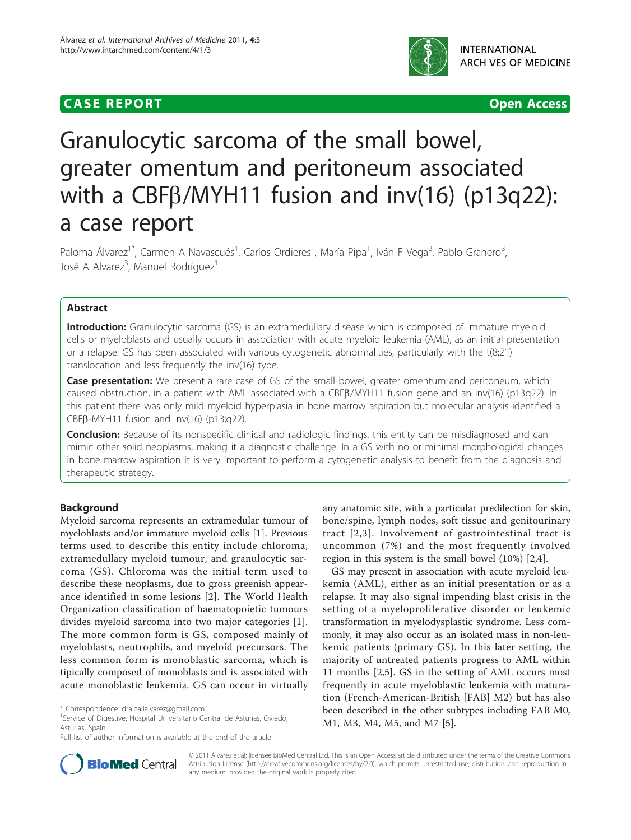# **CASE REPORT CASE REPORT CASE REPORT**



# Granulocytic sarcoma of the small bowel, greater omentum and peritoneum associated with a CBF $\beta$ /MYH11 fusion and inv(16) (p13q22): a case report

Paloma Álvarez<sup>1\*</sup>, Carmen A Navascués<sup>1</sup>, Carlos Ordieres<sup>1</sup>, María Pipa<sup>1</sup>, Iván F Vega<sup>2</sup>, Pablo Granero<sup>3</sup> , José A Alvarez<sup>3</sup>, Manuel Rodríguez<sup>1</sup>

### Abstract

Introduction: Granulocytic sarcoma (GS) is an extramedullary disease which is composed of immature myeloid cells or myeloblasts and usually occurs in association with acute myeloid leukemia (AML), as an initial presentation or a relapse. GS has been associated with various cytogenetic abnormalities, particularly with the t(8;21) translocation and less frequently the inv(16) type.

Case presentation: We present a rare case of GS of the small bowel, greater omentum and peritoneum, which caused obstruction, in a patient with AML associated with a CBFB/MYH11 fusion gene and an inv(16) (p13q22). In this patient there was only mild myeloid hyperplasia in bone marrow aspiration but molecular analysis identified a CBF $\beta$ -MYH11 fusion and inv(16) (p13;q22).

Conclusion: Because of its nonspecific clinical and radiologic findings, this entity can be misdiagnosed and can mimic other solid neoplasms, making it a diagnostic challenge. In a GS with no or minimal morphological changes in bone marrow aspiration it is very important to perform a cytogenetic analysis to benefit from the diagnosis and therapeutic strategy.

## Background

Myeloid sarcoma represents an extramedular tumour of myeloblasts and/or immature myeloid cells [[1\]](#page-4-0). Previous terms used to describe this entity include chloroma, extramedullary myeloid tumour, and granulocytic sarcoma (GS). Chloroma was the initial term used to describe these neoplasms, due to gross greenish appearance identified in some lesions [[2\]](#page-4-0). The World Health Organization classification of haematopoietic tumours divides myeloid sarcoma into two major categories [[1](#page-4-0)]. The more common form is GS, composed mainly of myeloblasts, neutrophils, and myeloid precursors. The less common form is monoblastic sarcoma, which is tipically composed of monoblasts and is associated with acute monoblastic leukemia. GS can occur in virtually

<sup>1</sup>Service of Digestive, Hospital Universitario Central de Asturias, Oviedo, Asturias, Spain

any anatomic site, with a particular predilection for skin, bone/spine, lymph nodes, soft tissue and genitourinary tract [[2](#page-4-0),[3](#page-4-0)]. Involvement of gastrointestinal tract is uncommon (7%) and the most frequently involved region in this system is the small bowel (10%) [\[2,4](#page-4-0)].

GS may present in association with acute myeloid leukemia (AML), either as an initial presentation or as a relapse. It may also signal impending blast crisis in the setting of a myeloproliferative disorder or leukemic transformation in myelodysplastic syndrome. Less commonly, it may also occur as an isolated mass in non-leukemic patients (primary GS). In this later setting, the majority of untreated patients progress to AML within 11 months [[2,5\]](#page-4-0). GS in the setting of AML occurs most frequently in acute myeloblastic leukemia with maturation (French-American-British [FAB] M2) but has also been described in the other subtypes including FAB M0, M1, M3, M4, M5, and M7 [[5](#page-4-0)].



© 2011 Álvarez et al; licensee BioMed Central Ltd. This is an Open Access article distributed under the terms of the Creative Commons Attribution License [\(http://creativecommons.org/licenses/by/2.0](http://creativecommons.org/licenses/by/2.0)), which permits unrestricted use, distribution, and reproduction in any medium, provided the original work is properly cited.

<sup>\*</sup> Correspondence: [dra.palialvarez@gmail.com](mailto:dra.palialvarez@gmail.com)

Full list of author information is available at the end of the article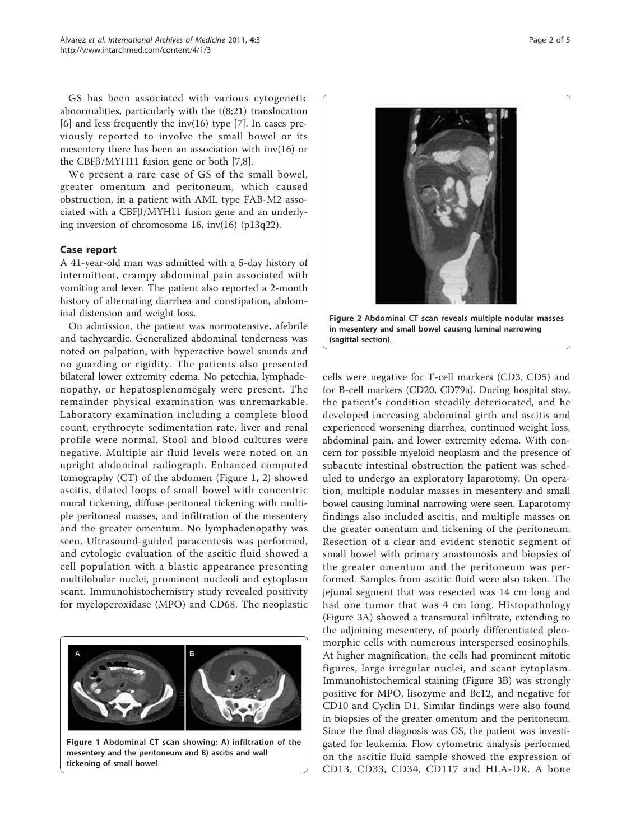GS has been associated with various cytogenetic abnormalities, particularly with the t(8;21) translocation [[6\]](#page-4-0) and less frequently the inv(16) type [[7\]](#page-4-0). In cases previously reported to involve the small bowel or its mesentery there has been an association with inv(16) or the CBF $\beta$ /MYH11 fusion gene or both [\[7,8\]](#page-4-0).

We present a rare case of GS of the small bowel, greater omentum and peritoneum, which caused obstruction, in a patient with AML type FAB-M2 associated with a CBF $\beta$ /MYH11 fusion gene and an underlying inversion of chromosome 16, inv(16) (p13q22).

#### Case report

A 41-year-old man was admitted with a 5-day history of intermittent, crampy abdominal pain associated with vomiting and fever. The patient also reported a 2-month history of alternating diarrhea and constipation, abdominal distension and weight loss.

On admission, the patient was normotensive, afebrile and tachycardic. Generalized abdominal tenderness was noted on palpation, with hyperactive bowel sounds and no guarding or rigidity. The patients also presented bilateral lower extremity edema. No petechia, lymphadenopathy, or hepatosplenomegaly were present. The remainder physical examination was unremarkable. Laboratory examination including a complete blood count, erythrocyte sedimentation rate, liver and renal profile were normal. Stool and blood cultures were negative. Multiple air fluid levels were noted on an upright abdominal radiograph. Enhanced computed tomography (CT) of the abdomen (Figure 1, 2) showed ascitis, dilated loops of small bowel with concentric mural tickening, diffuse peritoneal tickening with multiple peritoneal masses, and infiltration of the mesentery and the greater omentum. No lymphadenopathy was seen. Ultrasound-guided paracentesis was performed, and cytologic evaluation of the ascitic fluid showed a cell population with a blastic appearance presenting multilobular nuclei, prominent nucleoli and cytoplasm scant. Immunohistochemistry study revealed positivity for myeloperoxidase (MPO) and CD68. The neoplastic



mesentery and the peritoneum and B) ascitis and wall tickening of small bowel.



Figure 2 Abdominal CT scan reveals multiple nodular masses in mesentery and small bowel causing luminal narrowing (sagittal section).

cells were negative for T-cell markers (CD3, CD5) and for B-cell markers (CD20, CD79a). During hospital stay, the patient's condition steadily deteriorated, and he developed increasing abdominal girth and ascitis and experienced worsening diarrhea, continued weight loss, abdominal pain, and lower extremity edema. With concern for possible myeloid neoplasm and the presence of subacute intestinal obstruction the patient was scheduled to undergo an exploratory laparotomy. On operation, multiple nodular masses in mesentery and small bowel causing luminal narrowing were seen. Laparotomy findings also included ascitis, and multiple masses on the greater omentum and tickening of the peritoneum. Resection of a clear and evident stenotic segment of small bowel with primary anastomosis and biopsies of the greater omentum and the peritoneum was performed. Samples from ascitic fluid were also taken. The jejunal segment that was resected was 14 cm long and had one tumor that was 4 cm long. Histopathology (Figure [3A](#page-2-0)) showed a transmural infiltrate, extending to the adjoining mesentery, of poorly differentiated pleomorphic cells with numerous interspersed eosinophils. At higher magnification, the cells had prominent mitotic figures, large irregular nuclei, and scant cytoplasm. Immunohistochemical staining (Figure [3B](#page-2-0)) was strongly positive for MPO, lisozyme and Bc12, and negative for CD10 and Cyclin D1. Similar findings were also found in biopsies of the greater omentum and the peritoneum. Since the final diagnosis was GS, the patient was investigated for leukemia. Flow cytometric analysis performed on the ascitic fluid sample showed the expression of CD13, CD33, CD34, CD117 and HLA-DR. A bone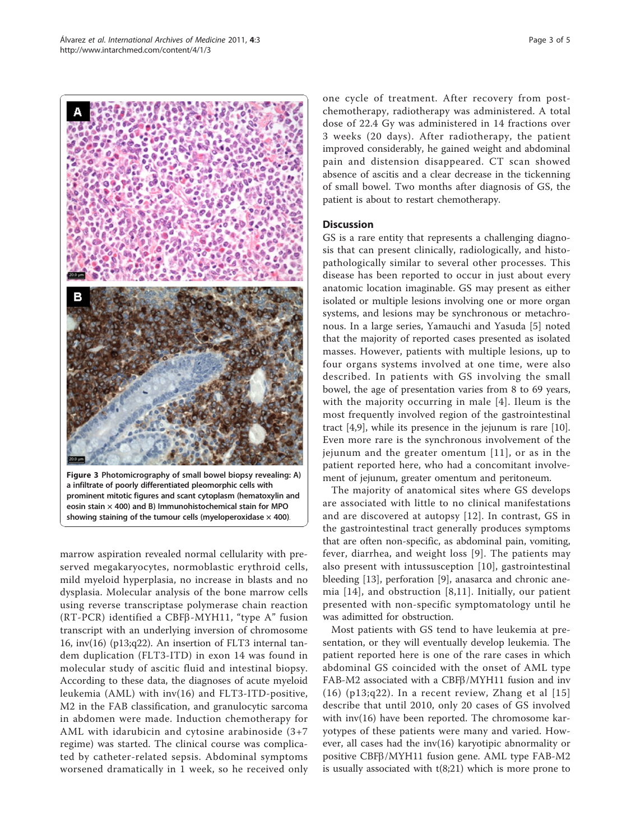marrow aspiration revealed normal cellularity with preeosin stain  $\times$  400) and B) Immunohistochemical stain for MPO showing staining of the tumour cells (myeloperoxidase  $\times$  400).

served megakaryocytes, normoblastic erythroid cells, mild myeloid hyperplasia, no increase in blasts and no dysplasia. Molecular analysis of the bone marrow cells using reverse transcriptase polymerase chain reaction  $(RT-PCR)$  identified a CBF $\beta$ -MYH11, "type A" fusion transcript with an underlying inversion of chromosome 16, inv(16) (p13;q22). An insertion of FLT3 internal tandem duplication (FLT3-ITD) in exon 14 was found in molecular study of ascitic fluid and intestinal biopsy. According to these data, the diagnoses of acute myeloid leukemia (AML) with inv(16) and FLT3-ITD-positive, M2 in the FAB classification, and granulocytic sarcoma in abdomen were made. Induction chemotherapy for AML with idarubicin and cytosine arabinoside (3+7 regime) was started. The clinical course was complicated by catheter-related sepsis. Abdominal symptoms worsened dramatically in 1 week, so he received only one cycle of treatment. After recovery from postchemotherapy, radiotherapy was administered. A total dose of 22.4 Gy was administered in 14 fractions over 3 weeks (20 days). After radiotherapy, the patient improved considerably, he gained weight and abdominal pain and distension disappeared. CT scan showed absence of ascitis and a clear decrease in the tickenning of small bowel. Two months after diagnosis of GS, the patient is about to restart chemotherapy.

#### **Discussion**

GS is a rare entity that represents a challenging diagnosis that can present clinically, radiologically, and histopathologically similar to several other processes. This disease has been reported to occur in just about every anatomic location imaginable. GS may present as either isolated or multiple lesions involving one or more organ systems, and lesions may be synchronous or metachronous. In a large series, Yamauchi and Yasuda [\[5](#page-4-0)] noted that the majority of reported cases presented as isolated masses. However, patients with multiple lesions, up to four organs systems involved at one time, were also described. In patients with GS involving the small bowel, the age of presentation varies from 8 to 69 years, with the majority occurring in male [[4](#page-4-0)]. Ileum is the most frequently involved region of the gastrointestinal tract [[4,9\]](#page-4-0), while its presence in the jejunum is rare [[10](#page-4-0)]. Even more rare is the synchronous involvement of the jejunum and the greater omentum [[11\]](#page-4-0), or as in the patient reported here, who had a concomitant involvement of jejunum, greater omentum and peritoneum.

The majority of anatomical sites where GS develops are associated with little to no clinical manifestations and are discovered at autopsy [[12](#page-4-0)]. In contrast, GS in the gastrointestinal tract generally produces symptoms that are often non-specific, as abdominal pain, vomiting, fever, diarrhea, and weight loss [[9](#page-4-0)]. The patients may also present with intussusception [\[10\]](#page-4-0), gastrointestinal bleeding [[13](#page-4-0)], perforation [\[9](#page-4-0)], anasarca and chronic anemia [[14\]](#page-4-0), and obstruction [[8,11](#page-4-0)]. Initially, our patient presented with non-specific symptomatology until he was adimitted for obstruction.

Most patients with GS tend to have leukemia at presentation, or they will eventually develop leukemia. The patient reported here is one of the rare cases in which abdominal GS coincided with the onset of AML type FAB-M2 associated with a CBF $\beta$ /MYH11 fusion and inv (16) (p13;q22). In a recent review, Zhang et al  $[15]$  $[15]$  $[15]$ describe that until 2010, only 20 cases of GS involved with inv(16) have been reported. The chromosome karyotypes of these patients were many and varied. However, all cases had the inv(16) karyotipic abnormality or positive CBFb/MYH11 fusion gene. AML type FAB-M2 is usually associated with t(8;21) which is more prone to

Figure 3 Photomicrography of small bowel biopsy revealing: A) a infiltrate of poorly differentiated pleomorphic cells with prominent mitotic figures and scant cytoplasm (hematoxylin and

<span id="page-2-0"></span>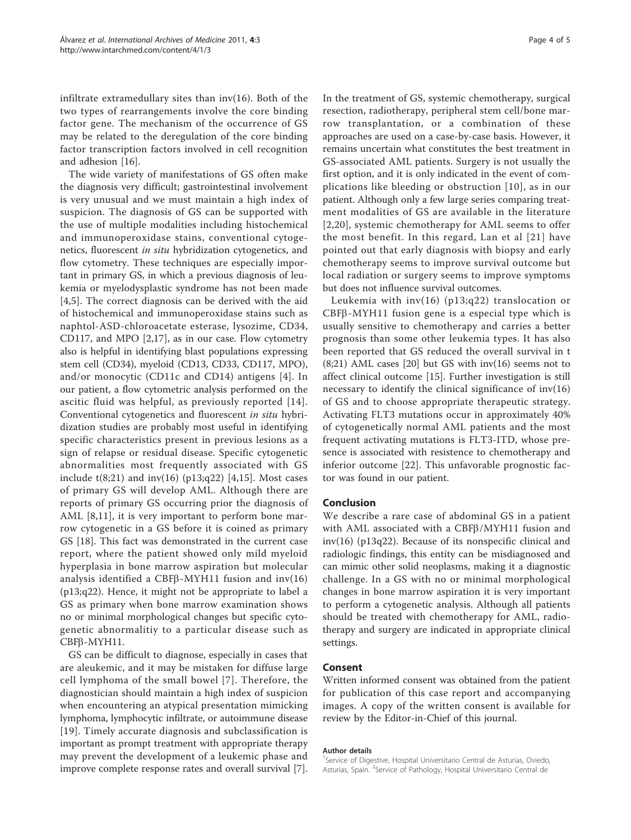infiltrate extramedullary sites than inv(16). Both of the two types of rearrangements involve the core binding factor gene. The mechanism of the occurrence of GS may be related to the deregulation of the core binding factor transcription factors involved in cell recognition and adhesion [\[16](#page-4-0)].

The wide variety of manifestations of GS often make the diagnosis very difficult; gastrointestinal involvement is very unusual and we must maintain a high index of suspicion. The diagnosis of GS can be supported with the use of multiple modalities including histochemical and immunoperoxidase stains, conventional cytogenetics, fluorescent in situ hybridization cytogenetics, and flow cytometry. These techniques are especially important in primary GS, in which a previous diagnosis of leukemia or myelodysplastic syndrome has not been made [[4,5](#page-4-0)]. The correct diagnosis can be derived with the aid of histochemical and immunoperoxidase stains such as naphtol-ASD-chloroacetate esterase, lysozime, CD34, CD117, and MPO [[2,17\]](#page-4-0), as in our case. Flow cytometry also is helpful in identifying blast populations expressing stem cell (CD34), myeloid (CD13, CD33, CD117, MPO), and/or monocytic (CD11c and CD14) antigens [[4](#page-4-0)]. In our patient, a flow cytometric analysis performed on the ascitic fluid was helpful, as previously reported [[14\]](#page-4-0). Conventional cytogenetics and fluorescent in situ hybridization studies are probably most useful in identifying specific characteristics present in previous lesions as a sign of relapse or residual disease. Specific cytogenetic abnormalities most frequently associated with GS include  $t(8;21)$  and  $inv(16)$  (p13;q22) [\[4](#page-4-0),[15\]](#page-4-0). Most cases of primary GS will develop AML. Although there are reports of primary GS occurring prior the diagnosis of AML [\[8](#page-4-0),[11\]](#page-4-0), it is very important to perform bone marrow cytogenetic in a GS before it is coined as primary GS [[18](#page-4-0)]. This fact was demonstrated in the current case report, where the patient showed only mild myeloid hyperplasia in bone marrow aspiration but molecular analysis identified a CBFß-MYH11 fusion and inv(16) (p13;q22). Hence, it might not be appropriate to label a GS as primary when bone marrow examination shows no or minimal morphological changes but specific cytogenetic abnormalitiy to a particular disease such as CBFβ-MYH11.

GS can be difficult to diagnose, especially in cases that are aleukemic, and it may be mistaken for diffuse large cell lymphoma of the small bowel [[7](#page-4-0)]. Therefore, the diagnostician should maintain a high index of suspicion when encountering an atypical presentation mimicking lymphoma, lymphocytic infiltrate, or autoimmune disease [[19](#page-4-0)]. Timely accurate diagnosis and subclassification is important as prompt treatment with appropriate therapy may prevent the development of a leukemic phase and improve complete response rates and overall survival [\[7](#page-4-0)]. In the treatment of GS, systemic chemotherapy, surgical resection, radiotherapy, peripheral stem cell/bone marrow transplantation, or a combination of these approaches are used on a case-by-case basis. However, it remains uncertain what constitutes the best treatment in GS-associated AML patients. Surgery is not usually the first option, and it is only indicated in the event of complications like bleeding or obstruction [[10\]](#page-4-0), as in our patient. Although only a few large series comparing treatment modalities of GS are available in the literature [[2](#page-4-0),[20\]](#page-4-0), systemic chemotherapy for AML seems to offer the most benefit. In this regard, Lan et al [[21](#page-4-0)] have pointed out that early diagnosis with biopsy and early chemotherapy seems to improve survival outcome but local radiation or surgery seems to improve symptoms but does not influence survival outcomes.

Leukemia with inv(16) (p13;q22) translocation or CBFb-MYH11 fusion gene is a especial type which is usually sensitive to chemotherapy and carries a better prognosis than some other leukemia types. It has also been reported that GS reduced the overall survival in t (8;21) AML cases [\[20](#page-4-0)] but GS with inv(16) seems not to affect clinical outcome [\[15](#page-4-0)]. Further investigation is still necessary to identify the clinical significance of  $inv(16)$ of GS and to choose appropriate therapeutic strategy. Activating FLT3 mutations occur in approximately 40% of cytogenetically normal AML patients and the most frequent activating mutations is FLT3-ITD, whose presence is associated with resistence to chemotherapy and inferior outcome [\[22](#page-4-0)]. This unfavorable prognostic factor was found in our patient.

#### Conclusion

We describe a rare case of abdominal GS in a patient with AML associated with a  $CBF\beta/MYH11$  fusion and inv(16) (p13q22). Because of its nonspecific clinical and radiologic findings, this entity can be misdiagnosed and can mimic other solid neoplasms, making it a diagnostic challenge. In a GS with no or minimal morphological changes in bone marrow aspiration it is very important to perform a cytogenetic analysis. Although all patients should be treated with chemotherapy for AML, radiotherapy and surgery are indicated in appropriate clinical settings.

#### Consent

Written informed consent was obtained from the patient for publication of this case report and accompanying images. A copy of the written consent is available for review by the Editor-in-Chief of this journal.

#### Author details

<sup>1</sup>Service of Digestive, Hospital Universitario Central de Asturias, Oviedo Asturias, Spain. <sup>2</sup>Service of Pathology, Hospital Universitario Central de